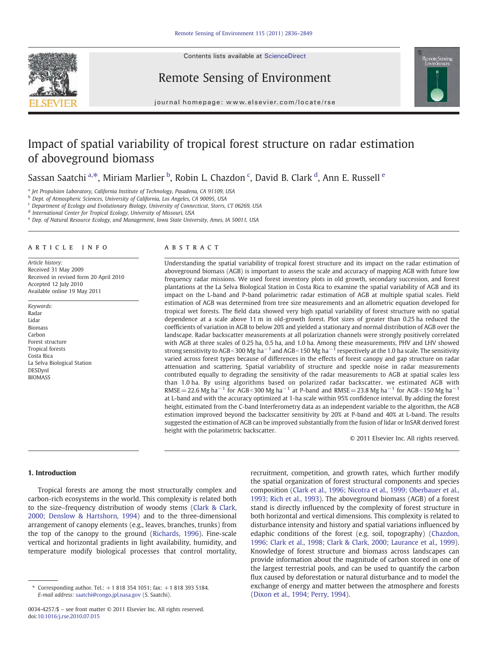Contents lists available at ScienceDirect







journal homepage: www.elsevier.com/locate/rse

# Impact of spatial variability of tropical forest structure on radar estimation of aboveground biomass

Sassan Saatchi <sup>a,\*</sup>, Miriam Marlier <sup>b</sup>, Robin L. Chazdon <sup>c</sup>, David B. Clark <sup>d</sup>, Ann E. Russell <sup>e</sup>

<sup>a</sup> Jet Propulsion Laboratory, California Institute of Technology, Pasadena, CA 91109, USA

b Dept. of Atmospheric Sciences, University of California, Los Angeles, CA 90095, USA

<sup>c</sup> Department of Ecology and Evolutionary Biology, University of Connecticut, Storrs, CT 06269, USA

<sup>d</sup> International Center for Tropical Ecology, University of Missouri, USA

<sup>e</sup> Dep. of Natural Resource Ecology, and Management, Iowa State University, Ames, IA 50011, USA

#### article info abstract

Article history: Received 31 May 2009 Received in revised form 20 April 2010 Accepted 12 July 2010 Available online 19 May 2011

Keywords: Radar Lidar Biomass Carbon Forest structure Tropical forests Costa Rica La Selva Biological Station DESDynl BIOMASS

Understanding the spatial variability of tropical forest structure and its impact on the radar estimation of aboveground biomass (AGB) is important to assess the scale and accuracy of mapping AGB with future low frequency radar missions. We used forest inventory plots in old growth, secondary succession, and forest plantations at the La Selva Biological Station in Costa Rica to examine the spatial variability of AGB and its impact on the L-band and P-band polarimetric radar estimation of AGB at multiple spatial scales. Field estimation of AGB was determined from tree size measurements and an allometric equation developed for tropical wet forests. The field data showed very high spatial variability of forest structure with no spatial dependence at a scale above 11 m in old-growth forest. Plot sizes of greater than 0.25 ha reduced the coefficients of variation in AGB to below 20% and yielded a stationary and normal distribution of AGB over the landscape. Radar backscatter measurements at all polarization channels were strongly positively correlated with AGB at three scales of 0.25 ha, 0.5 ha, and 1.0 ha. Among these measurements, PHV and LHV showed strong sensitivity to AGB<300 Mg ha<sup> $-1$ </sup> and AGB<150 Mg ha<sup> $-1$ </sup> respectively at the 1.0 ha scale. The sensitivity varied across forest types because of differences in the effects of forest canopy and gap structure on radar attenuation and scattering. Spatial variability of structure and speckle noise in radar measurements contributed equally to degrading the sensitivity of the radar measurements to AGB at spatial scales less than 1.0 ha. By using algorithms based on polarized radar backscatter, we estimated AGB with RMSE = 22.6 Mg ha<sup>-1</sup> for AGB < 300 Mg ha<sup>-1</sup> at P-band and RMSE = 23.8 Mg ha<sup>-1</sup> for AGB < 150 Mg ha<sup>-1</sup> at L-band and with the accuracy optimized at 1-ha scale within 95% confidence interval. By adding the forest height, estimated from the C-band Interferometry data as an independent variable to the algorithm, the AGB estimation improved beyond the backscatter sensitivity by 20% at P-band and 40% at L-band. The results suggested the estimation of AGB can be improved substantially from the fusion of lidar or InSAR derived forest height with the polarimetric backscatter.

© 2011 Elsevier Inc. All rights reserved.

## 1. Introduction

Tropical forests are among the most structurally complex and carbon-rich ecosystems in the world. This complexity is related both to the size–frequency distribution of woody stems ([Clark & Clark,](#page-12-0) [2000; Denslow & Hartshorn, 1994](#page-12-0)) and to the three-dimensional arrangement of canopy elements (e.g., leaves, branches, trunks) from the top of the canopy to the ground ([Richards, 1996](#page-12-0)). Fine-scale vertical and horizontal gradients in light availability, humidity, and temperature modify biological processes that control mortality,

recruitment, competition, and growth rates, which further modify the spatial organization of forest structural components and species composition ([Clark et al., 1996; Nicotra et al., 1999; Oberbauer et al.,](#page-12-0) [1993; Rich et al., 1993](#page-12-0)). The aboveground biomass (AGB) of a forest stand is directly influenced by the complexity of forest structure in both horizontal and vertical dimensions. This complexity is related to disturbance intensity and history and spatial variations influenced by edaphic conditions of the forest (e.g. soil, topography) [\(Chazdon,](#page-12-0) [1996; Clark et al., 1998; Clark & Clark, 2000; Laurance et al., 1999](#page-12-0)). Knowledge of forest structure and biomass across landscapes can provide information about the magnitude of carbon stored in one of the largest terrestrial pools, and can be used to quantify the carbon flux caused by deforestation or natural disturbance and to model the exchange of energy and matter between the atmosphere and forests [\(Dixon et al., 1994; Perry, 1994](#page-12-0)).

<sup>⁎</sup> Corresponding author. Tel.: +1 818 354 1051; fax: +1 818 393 5184. E-mail address: [saatchi@congo.jpl.nasa.gov](mailto:saatchi@congo.jpl.nasa.gov) (S. Saatchi).

<sup>0034-4257/\$</sup> – see front matter © 2011 Elsevier Inc. All rights reserved. doi[:10.1016/j.rse.2010.07.015](http://dx.doi.org/10.1016/j.rse.2010.07.015)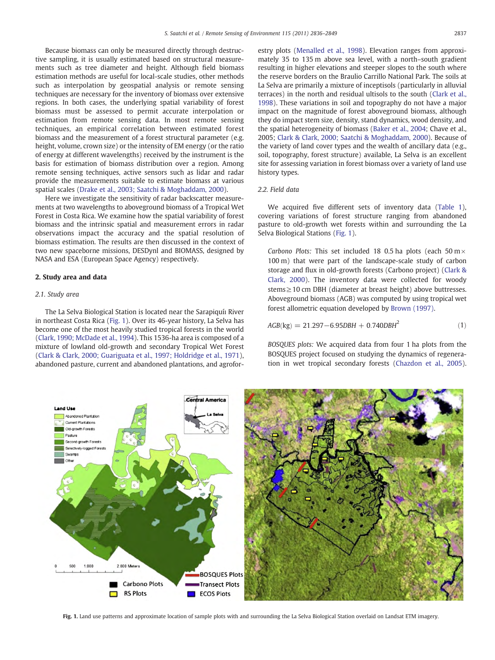<span id="page-1-0"></span>Because biomass can only be measured directly through destructive sampling, it is usually estimated based on structural measurements such as tree diameter and height. Although field biomass estimation methods are useful for local-scale studies, other methods such as interpolation by geospatial analysis or remote sensing techniques are necessary for the inventory of biomass over extensive regions. In both cases, the underlying spatial variability of forest biomass must be assessed to permit accurate interpolation or estimation from remote sensing data. In most remote sensing techniques, an empirical correlation between estimated forest biomass and the measurement of a forest structural parameter (e.g. height, volume, crown size) or the intensity of EM energy (or the ratio of energy at different wavelengths) received by the instrument is the basis for estimation of biomass distribution over a region. Among remote sensing techniques, active sensors such as lidar and radar provide the measurements suitable to estimate biomass at various spatial scales ([Drake et al., 2003; Saatchi & Moghaddam, 2000](#page-12-0)).

Here we investigate the sensitivity of radar backscatter measurements at two wavelengths to aboveground biomass of a Tropical Wet Forest in Costa Rica. We examine how the spatial variability of forest biomass and the intrinsic spatial and measurement errors in radar observations impact the accuracy and the spatial resolution of biomass estimation. The results are then discussed in the context of two new spaceborne missions, DESDynl and BIOMASS, designed by NASA and ESA (European Space Agency) respectively.

### 2. Study area and data

#### 2.1. Study area

The La Selva Biological Station is located near the Sarapiquíı River in northeast Costa Rica (Fig. 1). Over its 46-year history, La Selva has become one of the most heavily studied tropical forests in the world [\(Clark, 1990; McDade et al., 1994](#page-12-0)). This 1536-ha area is composed of a mixture of lowland old-growth and secondary Tropical Wet Forest [\(Clark & Clark, 2000; Guariguata et al., 1997; Holdridge et al., 1971](#page-12-0)), abandoned pasture, current and abandoned plantations, and agroforestry plots ([Menalled et al., 1998](#page-12-0)). Elevation ranges from approximately 35 to 135 m above sea level, with a north–south gradient resulting in higher elevations and steeper slopes to the south where the reserve borders on the Braulio Carrillo National Park. The soils at La Selva are primarily a mixture of inceptisols (particularly in alluvial terraces) in the north and residual ultisols to the south [\(Clark et al.,](#page-12-0) [1998\)](#page-12-0). These variations in soil and topography do not have a major impact on the magnitude of forest aboveground biomass, although they do impact stem size, density, stand dynamics, wood density, and the spatial heterogeneity of biomass [\(Baker et al., 2004](#page-12-0); Chave et al., 2005; [Clark & Clark, 2000; Saatchi & Moghaddam, 2000](#page-12-0)). Because of the variety of land cover types and the wealth of ancillary data (e.g., soil, topography, forest structure) available, La Selva is an excellent site for assessing variation in forest biomass over a variety of land use history types.

#### 2.2. Field data

We acquired five different sets of inventory data [\(Table 1](#page-2-0)), covering variations of forest structure ranging from abandoned pasture to old-growth wet forests within and surrounding the La Selva Biological Stations (Fig. 1).

Carbono Plots: This set included 18 0.5 ha plots (each 50 m $\times$ 100 m) that were part of the landscape-scale study of carbon storage and flux in old-growth forests (Carbono project) ([Clark &](#page-12-0) [Clark, 2000](#page-12-0)). The inventory data were collected for woody stems≥10 cm DBH (diameter at breast height) above buttresses. Aboveground biomass (AGB) was computed by using tropical wet forest allometric equation developed by [Brown \(1997\)](#page-12-0).

$$
AGB(\text{kg}) = 21.297 - 6.95DBH + 0.740DBH^2 \tag{1}
$$

BOSQUES plots: We acquired data from four 1 ha plots from the BOSQUES project focused on studying the dynamics of regeneration in wet tropical secondary forests [\(Chazdon et al., 2005](#page-12-0)).



Fig. 1. Land use patterns and approximate location of sample plots with and surrounding the La Selva Biological Station overlaid on Landsat ETM imagery.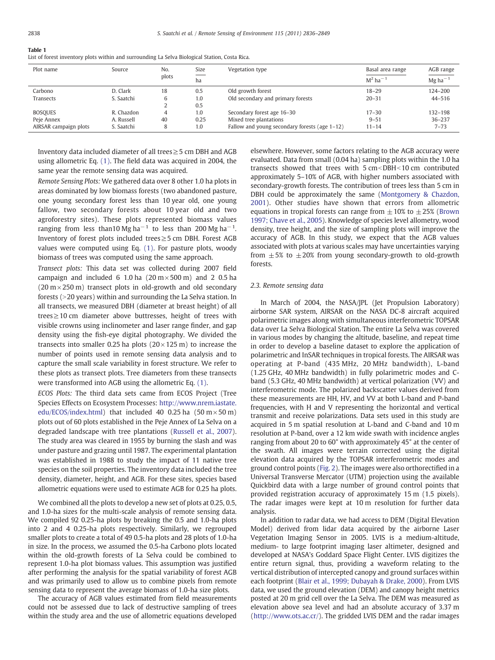#### <span id="page-2-0"></span>Table 1

List of forest inventory plots within and surrounding La Selva Biological Station, Costa Rica.

| Plot name             | Source     | No.   | Size | Vegetation type                               | Basal area range       | AGB range             |
|-----------------------|------------|-------|------|-----------------------------------------------|------------------------|-----------------------|
|                       |            | plots | ha   |                                               | $M^2$ ha <sup>-1</sup> | $Mg$ ha <sup>-1</sup> |
| Carbono               | D. Clark   | 18    | 0.5  | Old growth forest                             | $18 - 29$              | 124-200               |
| Transects             | S. Saatchi | 6     | 1.0  | Old secondary and primary forests             | $20 - 31$              | $44 - 516$            |
|                       |            |       | 0.5  |                                               |                        |                       |
| <b>BOSQUES</b>        | R. Chazdon | 4     | 1.0  | Secondary forest age 16-30                    | $17 - 30$              | 132-198               |
| Peje Annex            | A. Russell | 40    | 0.25 | Mixed tree plantations                        | $9 - 51$               | $36 - 237$            |
| AIRSAR campaign plots | S. Saatchi | 8     | 1.0  | Fallow and young secondary forests (age 1–12) | $11 - 14$              | $7 - 73$              |

Inventory data included diameter of all trees≥5 cm DBH and AGB using allometric Eq. [\(1\)](#page-1-0). The field data was acquired in 2004, the same year the remote sensing data was acquired.

Remote Sensing Plots: We gathered data over 8 other 1.0 ha plots in areas dominated by low biomass forests (two abandoned pasture, one young secondary forest less than 10 year old, one young fallow, two secondary forests about 10 year old and two agroforestry sites). These plots represented biomass values ranging from less than10 Mg ha<sup>-1</sup> to less than 200 Mg ha<sup>-1</sup>. Inventory of forest plots included trees≥5 cm DBH. Forest AGB values were computed using Eq. [\(1\).](#page-1-0) For pasture plots, woody biomass of trees was computed using the same approach.

Transect plots: This data set was collected during 2007 field campaign and included 6 1.0 ha  $(20 \text{ m} \times 500 \text{ m})$  and 2 0.5 ha  $(20 \text{ m} \times 250 \text{ m})$  transect plots in old-growth and old secondary forests ( $>$ 20 years) within and surrounding the La Selva station. In all transects, we measured DBH (diameter at breast height) of all trees≥10 cm diameter above buttresses, height of trees with visible crowns using inclinometer and laser range finder, and gap density using the fish-eye digital photography. We divided the transects into smaller 0.25 ha plots  $(20 \times 125 \text{ m})$  to increase the number of points used in remote sensing data analysis and to capture the small scale variability in forest structure. We refer to these plots as transect plots. Tree diameters from these transects were transformed into AGB using the allometric Eq. [\(1\).](#page-1-0)

ECOS Plots: The third data sets came from ECOS Project (Tree Species Effects on Ecosystem Processes: [http://www.nrem.iastate.](http://www.nrem.iastate.edu/ECOS/index.html) [edu/ECOS/index.html](http://www.nrem.iastate.edu/ECOS/index.html)) that included 40 0.25 ha  $(50 \text{ m} \times 50 \text{ m})$ plots out of 60 plots established in the Peje Annex of La Selva on a degraded landscape with tree plantations ([Russell et al., 2007](#page-12-0)). The study area was cleared in 1955 by burning the slash and was under pasture and grazing until 1987. The experimental plantation was established in 1988 to study the impact of 11 native tree species on the soil properties. The inventory data included the tree density, diameter, height, and AGB. For these sites, species based allometric equations were used to estimate AGB for 0.25 ha plots.

We combined all the plots to develop a new set of plots at 0.25, 0.5, and 1.0-ha sizes for the multi-scale analysis of remote sensing data. We compiled 92 0.25-ha plots by breaking the 0.5 and 1.0-ha plots into 2 and 4 0.25-ha plots respectively. Similarly, we regrouped smaller plots to create a total of 49 0.5-ha plots and 28 plots of 1.0-ha in size. In the process, we assumed the 0.5-ha Carbono plots located within the old-growth forests of La Selva could be combined to represent 1.0-ha plot biomass values. This assumption was justified after performing the analysis for the spatial variability of forest AGB and was primarily used to allow us to combine pixels from remote sensing data to represent the average biomass of 1.0-ha size plots.

The accuracy of AGB values estimated from field measurements could not be assessed due to lack of destructive sampling of trees within the study area and the use of allometric equations developed elsewhere. However, some factors relating to the AGB accuracy were evaluated. Data from small (0.04 ha) sampling plots within the 1.0 ha transects showed that trees with  $5 \text{ cm}$ <DBH<10 cm contributed approximately 5–10% of AGB, with higher numbers associated with secondary-growth forests. The contribution of trees less than 5 cm in DBH could be approximately the same ([Montgomery & Chazdon,](#page-12-0) [2001](#page-12-0)). Other studies have shown that errors from allometric equations in tropical forests can range from  $\pm 10\%$  to  $\pm 25\%$  ([Brown](#page-12-0) [1997; Chave et al., 2005\)](#page-12-0). Knowledge of species level allometry, wood density, tree height, and the size of sampling plots will improve the accuracy of AGB. In this study, we expect that the AGB values associated with plots at various scales may have uncertainties varying from  $\pm 5\%$  to  $\pm 20\%$  from young secondary-growth to old-growth forests.

#### 2.3. Remote sensing data

In March of 2004, the NASA/JPL (Jet Propulsion Laboratory) airborne SAR system, AIRSAR on the NASA DC-8 aircraft acquired polarimetric images along with simultaneous interferometric TOPSAR data over La Selva Biological Station. The entire La Selva was covered in various modes by changing the altitude, baseline, and repeat time in order to develop a baseline dataset to explore the application of polarimetric and InSAR techniques in tropical forests. The AIRSAR was operating at P-band (435 MHz, 20 MHz bandwidth), L-band (1.25 GHz, 40 MHz bandwidth) in fully polarimetric modes and Cband (5.3 GHz, 40 MHz bandwidth) at vertical polarization (VV) and interferometric mode. The polarized backscatter values derived from these measurements are HH, HV, and VV at both L-band and P-band frequencies, with H and V representing the horizontal and vertical transmit and receive polarizations. Data sets used in this study are acquired in 5 m spatial resolution at L-band and C-band and 10 m resolution at P-band, over a 12 km wide swath with incidence angles ranging from about 20 to 60° with approximately 45° at the center of the swath. All images were terrain corrected using the digital elevation data acquired by the TOPSAR interferometric modes and ground control points ([Fig. 2\)](#page-3-0). The images were also orthorectified in a Universal Transverse Mercator (UTM) projection using the available Quickbird data with a large number of ground control points that provided registration accuracy of approximately 15 m (1.5 pixels). The radar images were kept at 10 m resolution for further data analysis.

In addition to radar data, we had access to DEM (Digital Elevation Model) derived from lidar data acquired by the airborne Laser Vegetation Imaging Sensor in 2005. LVIS is a medium-altitude, medium- to large footprint imaging laser altimeter, designed and developed at NASA's Goddard Space Flight Center. LVIS digitizes the entire return signal, thus, providing a waveform relating to the vertical distribution of intercepted canopy and ground surfaces within each footprint ([Blair et al., 1999; Dubayah & Drake, 2000](#page-12-0)). From LVIS data, we used the ground elevation (DEM) and canopy height metrics posted at 20 m grid cell over the La Selva. The DEM was measured as elevation above sea level and had an absolute accuracy of 3.37 m [\(http://www.ots.ac.cr/](http://www.ots.ac.cr/)). The gridded LVIS DEM and the radar images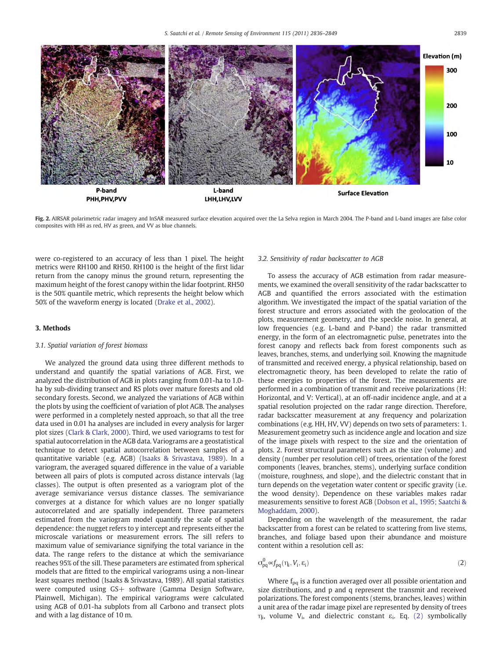<span id="page-3-0"></span>

Fig. 2. AIRSAR polarimetric radar imagery and InSAR measured surface elevation acquired over the La Selva region in March 2004. The P-band and L-band images are false color composites with HH as red, HV as green, and VV as blue channels.

were co-registered to an accuracy of less than 1 pixel. The height metrics were RH100 and RH50. RH100 is the height of the first lidar return from the canopy minus the ground return, representing the maximum height of the forest canopy within the lidar footprint. RH50 is the 50% quantile metric, which represents the height below which 50% of the waveform energy is located ([Drake et al., 2002](#page-12-0)).

### 3. Methods

# 3.1. Spatial variation of forest biomass

We analyzed the ground data using three different methods to understand and quantify the spatial variations of AGB. First, we analyzed the distribution of AGB in plots ranging from 0.01-ha to 1.0 ha by sub-dividing transect and RS plots over mature forests and old secondary forests. Second, we analyzed the variations of AGB within the plots by using the coefficient of variation of plot AGB. The analyses were performed in a completely nested approach, so that all the tree data used in 0.01 ha analyses are included in every analysis for larger plot sizes [\(Clark & Clark, 2000\)](#page-12-0). Third, we used variograms to test for spatial autocorrelation in the AGB data. Variograms are a geostatistical technique to detect spatial autocorrelation between samples of a quantitative variable (e.g. AGB) [\(Isaaks & Srivastava, 1989](#page-12-0)). In a variogram, the averaged squared difference in the value of a variable between all pairs of plots is computed across distance intervals (lag classes). The output is often presented as a variogram plot of the average semivariance versus distance classes. The semivariance converges at a distance for which values are no longer spatially autocorrelated and are spatially independent. Three parameters estimated from the variogram model quantify the scale of spatial dependence: the nugget refers to y intercept and represents either the microscale variations or measurement errors. The sill refers to maximum value of semivariance signifying the total variance in the data. The range refers to the distance at which the semivariance reaches 95% of the sill. These parameters are estimated from spherical models that are fitted to the empirical variograms using a non-linear least squares method (Isaaks & Srivastava, 1989). All spatial statistics were computed using GS+ software (Gamma Design Software, Plainwell, Michigan). The empirical variograms were calculated using AGB of 0.01-ha subplots from all Carbono and transect plots and with a lag distance of 10 m.

#### 3.2. Sensitivity of radar backscatter to AGB

To assess the accuracy of AGB estimation from radar measurements, we examined the overall sensitivity of the radar backscatter to AGB and quantified the errors associated with the estimation algorithm. We investigated the impact of the spatial variation of the forest structure and errors associated with the geolocation of the plots, measurement geometry, and the speckle noise. In general, at low frequencies (e.g. L-band and P-band) the radar transmitted energy, in the form of an electromagnetic pulse, penetrates into the forest canopy and reflects back from forest components such as leaves, branches, stems, and underlying soil. Knowing the magnitude of transmitted and received energy, a physical relationship, based on electromagnetic theory, has been developed to relate the ratio of these energies to properties of the forest. The measurements are performed in a combination of transmit and receive polarizations (H: Horizontal, and V: Vertical), at an off-nadir incidence angle, and at a spatial resolution projected on the radar range direction. Therefore, radar backscatter measurement at any frequency and polarization combinations (e.g. HH, HV, VV) depends on two sets of parameters: 1. Measurement geometry such as incidence angle and location and size of the image pixels with respect to the size and the orientation of plots. 2. Forest structural parameters such as the size (volume) and density (number per resolution cell) of trees, orientation of the forest components (leaves, branches, stems), underlying surface condition (moisture, roughness, and slope), and the dielectric constant that in turn depends on the vegetation water content or specific gravity (i.e. the wood density). Dependence on these variables makes radar measurements sensitive to forest AGB ([Dobson et al., 1995; Saatchi &](#page-12-0) [Moghaddam, 2000\)](#page-12-0).

Depending on the wavelength of the measurement, the radar backscatter from a forest can be related to scattering from live stems, branches, and foliage based upon their abundance and moisture content within a resolution cell as:

$$
\sigma_{pq}^0 \in f_{pq}(\eta_i, V_i, \varepsilon_i)
$$
\n(2)

Where  $f_{pq}$  is a function averaged over all possible orientation and size distributions, and p and q represent the transmit and received polarizations. The forest components (stems, branches, leaves) within a unit area of the radar image pixel are represented by density of trees  $η$ <sub>i</sub>, volume V<sub>i</sub>, and dielectric constant ε<sub>i</sub>. Eq. (2) symbolically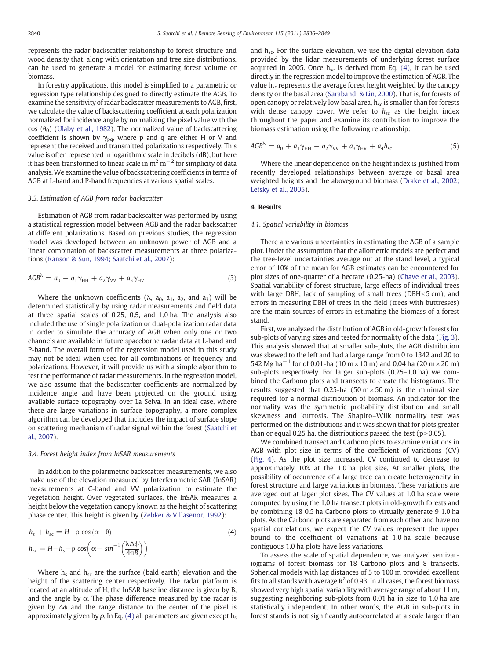<span id="page-4-0"></span>represents the radar backscatter relationship to forest structure and wood density that, along with orientation and tree size distributions, can be used to generate a model for estimating forest volume or biomass.

In forestry applications, this model is simplified to a parametric or regression type relationship designed to directly estimate the AGB. To examine the sensitivity of radar backscatter measurements to AGB, first, we calculate the value of backscattering coefficient at each polarization normalized for incidence angle by normalizing the pixel value with the cos ( $\theta_0$ ) [\(Ulaby et al., 1982](#page-13-0)). The normalized value of backscattering coefficient is shown by  $\gamma_{pq}$ , where p and q are either H or V and represent the received and transmitted polarizations respectively. This value is often represented in logarithmic scale in decibels (dB), but here it has been transformed to linear scale in  $m^2 m^{-2}$  for simplicity of data analysis. We examine the value of backscattering coefficients in terms of AGB at L-band and P-band frequencies at various spatial scales.

#### 3.3. Estimation of AGB from radar backscatter

Estimation of AGB from radar backscatter was performed by using a statistical regression model between AGB and the radar backscatter at different polarizations. Based on previous studies, the regression model was developed between an unknown power of AGB and a linear combination of backscatter measurements at three polarizations ([Ranson & Sun, 1994; Saatchi et al., 2007](#page-12-0)):

$$
AGB^{\lambda} = a_0 + a_1 \gamma_{HH} + a_2 \gamma_{VV} + a_3 \gamma_{HV}
$$
\n(3)

Where the unknown coefficients ( $\lambda$ ,  $a_0$ ,  $a_1$ ,  $a_2$ , and  $a_3$ ) will be determined statistically by using radar measurements and field data at three spatial scales of 0.25, 0.5, and 1.0 ha. The analysis also included the use of single polarization or dual-polarization radar data in order to simulate the accuracy of AGB when only one or two channels are available in future spaceborne radar data at L-band and P-band. The overall form of the regression model used in this study may not be ideal when used for all combinations of frequency and polarizations. However, it will provide us with a simple algorithm to test the performance of radar measurements. In the regression model, we also assume that the backscatter coefficients are normalized by incidence angle and have been projected on the ground using available surface topography over La Selva. In an ideal case, where there are large variations in surface topography, a more complex algorithm can be developed that includes the impact of surface slope on scattering mechanism of radar signal within the forest [\(Saatchi et](#page-12-0) [al., 2007](#page-12-0)).

#### 3.4. Forest height index from InSAR measurements

In addition to the polarimetric backscatter measurements, we also make use of the elevation measured by Interferometric SAR (InSAR) measurements at C-band and VV polarization to estimate the vegetation height. Over vegetated surfaces, the InSAR measures a height below the vegetation canopy known as the height of scattering phase center. This height is given by ([Zebker & Villasenor, 1992\)](#page-13-0):

$$
h_{\rm s} + h_{\rm sc} = H - \rho \cos(\alpha - \theta)
$$
  
\n
$$
h_{\rm sc} = H - h_{\rm s} - \rho \cos\left(\alpha - \sin^{-1}\left(\frac{\Delta \Delta \phi}{4\pi B}\right)\right)
$$
\n(4)

Where  $h_s$  and  $h_{sc}$  are the surface (bald earth) elevation and the height of the scattering center respectively. The radar platform is located at an altitude of H, the InSAR baseline distance is given by B, and the angle by  $\alpha$ . The phase difference measured by the radar is given by  $\Delta\phi$  and the range distance to the center of the pixel is approximately given by  $\rho$ . In Eq. (4) all parameters are given except h<sub>s</sub> and  $h_{sc}$ . For the surface elevation, we use the digital elevation data provided by the lidar measurements of underlying forest surface acquired in 2005. Once  $h_{sc}$  is derived from Eq. (4), it can be used directly in the regression model to improve the estimation of AGB. The value  $h_{sc}$  represents the average forest height weighted by the canopy density or the basal area ([Sarabandi & Lin, 2000\)](#page-13-0). That is, for forests of open canopy or relatively low basal area,  $h_{sc}$  is smaller than for forests with dense canopy cover. We refer to  $h_{sc}$  as the height index throughout the paper and examine its contribution to improve the biomass estimation using the following relationship:

$$
AGB^{\lambda} = a_0 + a_1 \gamma_{HH} + a_2 \gamma_{VV} + a_3 \gamma_{HV} + a_4 h_{sc}
$$
 (5)

Where the linear dependence on the height index is justified from recently developed relationships between average or basal area weighted heights and the aboveground biomass [\(Drake et al., 2002;](#page-12-0) [Lefsky et al., 2005\)](#page-12-0).

#### 4. Results

#### 4.1. Spatial variability in biomass

There are various uncertainties in estimating the AGB of a sample plot. Under the assumption that the allometric models are perfect and the tree-level uncertainties average out at the stand level, a typical error of 10% of the mean for AGB estimates can be encountered for plot sizes of one-quarter of a hectare (0.25-ha) ([Chave et al., 2003](#page-12-0)). Spatial variability of forest structure, large effects of individual trees with large DBH, lack of sampling of small trees (DBH $<$ 5 cm), and errors in measuring DBH of trees in the field (trees with buttresses) are the main sources of errors in estimating the biomass of a forest stand.

First, we analyzed the distribution of AGB in old-growth forests for sub-plots of varying sizes and tested for normality of the data ([Fig. 3](#page-5-0)). This analysis showed that at smaller sub-plots, the AGB distribution was skewed to the left and had a large range from 0 to 1342 and 20 to 542 Mg ha<sup>-1</sup> for of 0.01-ha (10 m × 10 m) and 0.04 ha (20 m × 20 m) sub-plots respectively. For larger sub-plots (0.25–1.0 ha) we combined the Carbono plots and transects to create the histograms. The results suggested that 0.25-ha  $(50 \text{ m} \times 50 \text{ m})$  is the minimal size required for a normal distribution of biomass. An indicator for the normality was the symmetric probability distribution and small skewness and kurtosis. The Shapiro–Wilk normality test was performed on the distributions and it was shown that for plots greater than or equal 0.25 ha, the distributions passed the test ( $p>0.05$ ).

We combined transect and Carbono plots to examine variations in AGB with plot size in terms of the coefficient of variations (CV) [\(Fig. 4\)](#page-5-0). As the plot size increased, CV continued to decrease to approximately 10% at the 1.0 ha plot size. At smaller plots, the possibility of occurrence of a large tree can create heterogeneity in forest structure and large variations in biomass. These variations are averaged out at lager plot sizes. The CV values at 1.0 ha scale were computed by using the 1.0 ha transect plots in old-growth forests and by combining 18 0.5 ha Carbono plots to virtually generate 9 1.0 ha plots. As the Carbono plots are separated from each other and have no spatial correlations, we expect the CV values represent the upper bound to the coefficient of variations at 1.0 ha scale because contiguous 1.0 ha plots have less variations.

To assess the scale of spatial dependence, we analyzed semivariograms of forest biomass for 18 Carbono plots and 8 transects. Spherical models with lag distances of 5 to 100 m provided excellent fits to all stands with average  $R^2$  of 0.93. In all cases, the forest biomass showed very high spatial variability with average range of about 11 m, suggesting neighboring sub-plots from 0.01 ha in size to 1.0 ha are statistically independent. In other words, the AGB in sub-plots in forest stands is not significantly autocorrelated at a scale larger than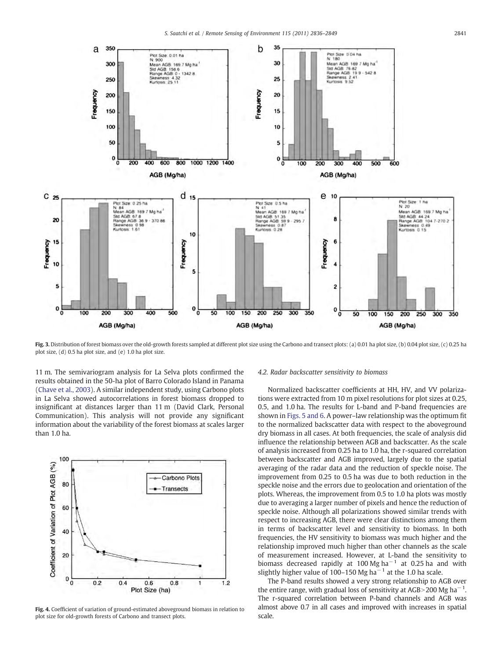<span id="page-5-0"></span>

Fig. 3. Distribution of forest biomass over the old-growth forests sampled at different plot size using the Carbono and transect plots: (a) 0.01 ha plot size, (b) 0.04 plot size, (c) 0.25 ha plot size, (d) 0.5 ha plot size, and (e) 1.0 ha plot size.

11 m. The semivariogram analysis for La Selva plots confirmed the results obtained in the 50-ha plot of Barro Colorado Island in Panama [\(Chave et al., 2003\)](#page-12-0). A similar independent study, using Carbono plots in La Selva showed autocorrelations in forest biomass dropped to insignificant at distances larger than 11 m (David Clark, Personal Communication). This analysis will not provide any significant information about the variability of the forest biomass at scales larger than 1.0 ha.



Fig. 4. Coefficient of variation of ground-estimated aboveground biomass in relation to plot size for old-growth forests of Carbono and transect plots.

#### 4.2. Radar backscatter sensitivity to biomass

Normalized backscatter coefficients at HH, HV, and VV polarizations were extracted from 10 m pixel resolutions for plot sizes at 0.25, 0.5, and 1.0 ha. The results for L-band and P-band frequencies are shown in [Figs. 5 and 6.](#page-6-0) A power–law relationship was the optimum fit to the normalized backscatter data with respect to the aboveground dry biomass in all cases. At both frequencies, the scale of analysis did influence the relationship between AGB and backscatter. As the scale of analysis increased from 0.25 ha to 1.0 ha, the r-squared correlation between backscatter and AGB improved, largely due to the spatial averaging of the radar data and the reduction of speckle noise. The improvement from 0.25 to 0.5 ha was due to both reduction in the speckle noise and the errors due to geolocation and orientation of the plots. Whereas, the improvement from 0.5 to 1.0 ha plots was mostly due to averaging a larger number of pixels and hence the reduction of speckle noise. Although all polarizations showed similar trends with respect to increasing AGB, there were clear distinctions among them in terms of backscatter level and sensitivity to biomass. In both frequencies, the HV sensitivity to biomass was much higher and the relationship improved much higher than other channels as the scale of measurement increased. However, at L-band the sensitivity to biomass decreased rapidly at 100 Mg ha<sup> $-1$ </sup> at 0.25 ha and with slightly higher value of 100–150 Mg ha<sup> $-1$ </sup> at the 1.0 ha scale.

The P-band results showed a very strong relationship to AGB over the entire range, with gradual loss of sensitivity at AGB>200 Mg ha<sup>-1</sup>. The r-squared correlation between P-band channels and AGB was almost above 0.7 in all cases and improved with increases in spatial scale.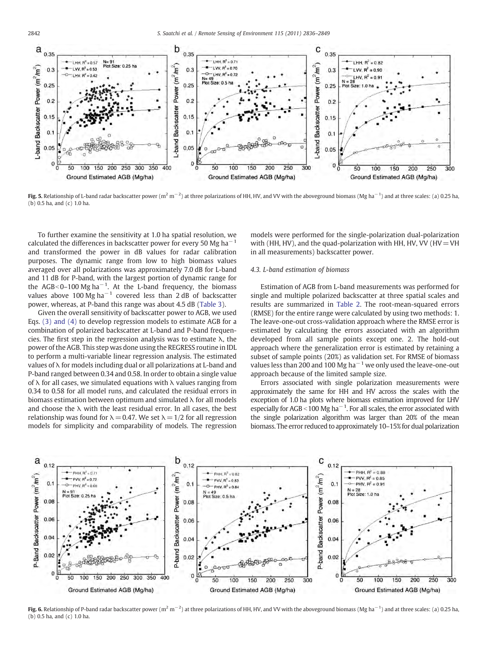<span id="page-6-0"></span>

**Fig. 5.** Relationship of L-band radar backscatter power (m<sup>2</sup> m<sup>-2</sup>) at three polarizations of HH, HV, and VV with the aboveground biomass (Mg ha<sup>-1</sup>) and at three scales: (a) 0.25 ha (b) 0.5 ha, and (c) 1.0 ha.

To further examine the sensitivity at 1.0 ha spatial resolution, we calculated the differences in backscatter power for every 50 Mg ha<sup> $-1$ </sup> and transformed the power in dB values for radar calibration purposes. The dynamic range from low to high biomass values averaged over all polarizations was approximately 7.0 dB for L-band and 11 dB for P-band, with the largest portion of dynamic range for the AGB<0–100 Mg ha<sup>-1</sup>. At the L-band frequency, the biomass values above 100 Mg ha<sup> $-1$ </sup> covered less than 2 dB of backscatter power, whereas, at P-band this range was about 4.5 dB ([Table 3](#page-7-0)).

Given the overall sensitivity of backscatter power to AGB, we used Eqs. [\(3\) and \(4\)](#page-4-0) to develop regression models to estimate AGB for a combination of polarized backscatter at L-band and P-band frequencies. The first step in the regression analysis was to estimate λ, the power of the AGB. This step was done using the REGRESS routine in IDL to perform a multi-variable linear regression analysis. The estimated values of λ for models including dual or all polarizations at L-band and P-band ranged between 0.34 and 0.58. In order to obtain a single value of  $\lambda$  for all cases, we simulated equations with  $\lambda$  values ranging from 0.34 to 0.58 for all model runs, and calculated the residual errors in biomass estimation between optimum and simulated  $\lambda$  for all models and choose the  $\lambda$  with the least residual error. In all cases, the best relationship was found for  $\lambda = 0.47$ . We set  $\lambda = 1/2$  for all regression models for simplicity and comparability of models. The regression models were performed for the single-polarization dual-polarization with (HH, HV), and the quad-polarization with HH, HV, VV (HV = VH in all measurements) backscatter power.

#### 4.3. L-band estimation of biomass

Estimation of AGB from L-band measurements was performed for single and multiple polarized backscatter at three spatial scales and results are summarized in [Table 2](#page-7-0). The root-mean-squared errors (RMSE) for the entire range were calculated by using two methods: 1. The leave-one-out cross-validation approach where the RMSE error is estimated by calculating the errors associated with an algorithm developed from all sample points except one. 2. The hold-out approach where the generalization error is estimated by retaining a subset of sample points (20%) as validation set. For RMSE of biomass values less than 200 and 100 Mg ha<sup> $-1$ </sup> we only used the leave-one-out approach because of the limited sample size.

Errors associated with single polarization measurements were approximately the same for HH and HV across the scales with the exception of 1.0 ha plots where biomass estimation improved for LHV especially for AGB <100 Mg ha<sup> $-1$ </sup>. For all scales, the error associated with the single polarization algorithm was larger than 20% of the mean biomass. The error reduced to approximately 10–15% for dual polarization



**Fig. 6.** Relationship of P-band radar backscatter power (m<sup>2</sup> m<sup>-2</sup>) at three polarizations of HH, HV, and VV with the aboveground biomass (Mg ha<sup>-1</sup>) and at three scales: (a) 0.25 ha, (b) 0.5 ha, and (c) 1.0 ha.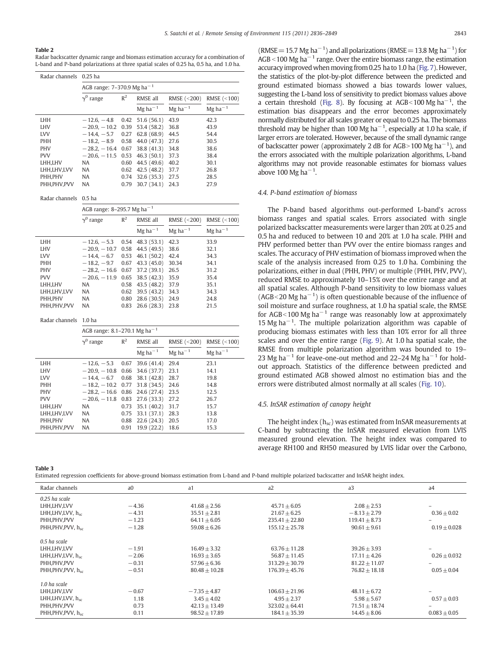#### <span id="page-7-0"></span>Table 2

Radar backscatter dynamic range and biomass estimation accuracy for a combination of L-band and P-band polarizations at three spatial scales of 0.25 ha, 0.5 ha, and 1.0 ha.

| Radar channels |             | $0.25$ ha                              |       |                       |                       |                       |  |  |  |
|----------------|-------------|----------------------------------------|-------|-----------------------|-----------------------|-----------------------|--|--|--|
|                |             | AGB range: 7-370.9 Mg ha <sup>-1</sup> |       |                       |                       |                       |  |  |  |
|                |             | $\gamma^0$ range                       | $R^2$ | RMSE all              | RMSE $(<200)$         | RMSE (<100)           |  |  |  |
|                |             |                                        |       | $Mg$ ha <sup>-1</sup> | $Mg$ ha <sup>-1</sup> | $Mg$ ha <sup>-1</sup> |  |  |  |
|                | <b>LHH</b>  | $-12.6, -4.8$ 0.42 51.6 (56.1)         |       |                       | 43.9                  | 42.3                  |  |  |  |
|                | <b>LHV</b>  | $-20.9, -10.2$ 0.39                    |       | 53.4 (58.2)           | 36.8                  | 43.9                  |  |  |  |
|                | <b>LVV</b>  | $-14.4, -5.7$ 0.27                     |       | 62.8(68.9)            | 44.5                  | 54.4                  |  |  |  |
|                | <b>PHH</b>  | $-18.2, -8.9$ 0.58                     |       | 44.0 (47.3)           | 27.6                  | 30.5                  |  |  |  |
|                | <b>PHV</b>  | $-28.2, -16.4, 0.67$                   |       | 38.8 (41.3)           | 34.8                  | 38.6                  |  |  |  |
|                | <b>PVV</b>  | $-20.6, -11.5, 0.53$                   |       | 46.3(50.1)            | 37.3                  | 38.4                  |  |  |  |
|                | LHH,LHV     | <b>NA</b>                              | 0.60  | 44.5 (49.6)           | 40.2                  | 30.1                  |  |  |  |
|                | LHH.LHV.LVV | <b>NA</b>                              | 0.62  | 42.5(48.2)            | 37.7                  | 26.8                  |  |  |  |
|                | PHH, PHV    | <b>NA</b>                              | 0.74  | 32.6(35.3)            | 27.5                  | 28.5                  |  |  |  |
|                | PHH.PHV.PVV | <b>NA</b>                              | 0.79  | 30.7(34.1)            | 24.3                  | 27.9                  |  |  |  |
|                |             |                                        |       |                       |                       |                       |  |  |  |

Radar channels 0.5 ha

|             | AGB range: 8-295.7 Mg ha <sup>-1</sup> |       |                       |                       |                       |  |  |
|-------------|----------------------------------------|-------|-----------------------|-----------------------|-----------------------|--|--|
|             | $\gamma^0$ range                       | $R^2$ | RMSE all              | RMSE (<200)           | RMSE (<100)           |  |  |
|             |                                        |       | $Mg$ ha <sup>-1</sup> | $Mg$ ha <sup>-1</sup> | $Mg$ ha <sup>-1</sup> |  |  |
| LHH         | $-12.6, -5.3$ 0.54 48.3 (53.1)         |       |                       | 42.3                  | 33.9                  |  |  |
| LHV         | $-20.9, -10.7$ 0.58                    |       | 44.5 (49.5)           | 38.6                  | 32.1                  |  |  |
| <b>LVV</b>  | $-14.4, -6.7$ 0.53                     |       | 46.1(50.2)            | 42.4                  | 34.3                  |  |  |
| <b>PHH</b>  | $-18.2, -9.7$                          | 0.67  | 43.3(45.0)            | 30.34                 | 34.1                  |  |  |
| <b>PHV</b>  | $-28.2, -16.6$                         | 0.67  | 37.2 (39.1)           | 26.5                  | 31.2                  |  |  |
| <b>PVV</b>  | $-20.6, -11.9$                         | 0.65  | 38.5(42.3)            | 35.9                  | 35.4                  |  |  |
| LHH.LHV     | <b>NA</b>                              | 0.58  | 43.5(48.2)            | 37.9                  | 35.1                  |  |  |
| LHH,LHV,LVV | <b>NA</b>                              | 0.62  | 39.5(43.2)            | 34.3                  | 34.3                  |  |  |
| PHH.PHV     | <b>NA</b>                              | 0.80  | 28.6(30.5)            | 24.9                  | 24.8                  |  |  |
| PHH.PHV.PVV | <b>NA</b>                              | 0.83  | 26.6(28.3)            | 23.8                  | 21.5                  |  |  |

Radar channels 1.0 ha

|               | AGB range: 8.1-270.1 Mg ha <sup>-1</sup> |       |                       |                       |                       |  |  |
|---------------|------------------------------------------|-------|-----------------------|-----------------------|-----------------------|--|--|
|               | $\gamma^0$ range                         | $R^2$ | RMSE all              | RMSE (<200)           | RMSE $(<100$ )        |  |  |
|               |                                          |       | $Mg$ ha <sup>-1</sup> | $Mg$ ha <sup>-1</sup> | $Mg$ ha <sup>-1</sup> |  |  |
| LHH           | $-12.6, -5.3$ 0.67                       |       | 39.6(41.4)            | 29.4                  | 23.1                  |  |  |
| <b>LHV</b>    | $-20.9 - 10.8$ 0.66 34.6 (37.7)          |       |                       | 23.1                  | 14.1                  |  |  |
| <b>LVV</b>    | $-14.4 - 6.7$ 0.68                       |       | 38.1 (42.8)           | 28.7                  | 19.8                  |  |  |
| <b>PHH</b>    | $-18.2, -10.2$ 0.77 31.8 (34.5)          |       |                       | 24.6                  | 14.8                  |  |  |
| <b>PHV</b>    | $-28.2, -16.6$ 0.86 24.6 (27.4)          |       |                       | 23.5                  | 12.5                  |  |  |
| <b>PVV</b>    | $-20.6, -11.8$ 0.83 27.6 (33.3)          |       |                       | 27.2                  | 26.7                  |  |  |
| LHH.LHV       | <b>NA</b>                                | 0.73  | 35.1(40.2)            | 31.7                  | 15.7                  |  |  |
| LHH,LHV,LVV   | <b>NA</b>                                | 0.75  | 33.1 (37.1)           | 28.3                  | 13.8                  |  |  |
| PHH.PHV       | <b>NA</b>                                | 0.88  | 22.6(24.3)            | 20.5                  | 17.0                  |  |  |
| PHH, PHV, PVV | <b>NA</b>                                | 0.91  | 19.9 (22.2)           | 18.6                  | 15.3                  |  |  |

 $(RMSE=15.7$  Mg ha<sup>-1</sup>) and all polarizations (RMSE = 13.8 Mg ha<sup>-1</sup>) for AGB <100 Mg ha<sup> $-1$ </sup> range. Over the entire biomass range, the estimation accuracy improved when moving from 0.25 ha to 1.0 ha [\(Fig. 7\)](#page-8-0). However, the statistics of the plot-by-plot difference between the predicted and ground estimated biomass showed a bias towards lower values, suggesting the L-band loss of sensitivity to predict biomass values above a certain threshold [\(Fig. 8\)](#page-8-0). By focusing at AGB<100 Mg ha<sup>-1</sup>, the estimation bias disappears and the error becomes approximately normally distributed for all scales greater or equal to 0.25 ha. The biomass threshold may be higher than 100 Mg ha<sup> $-1$ </sup>, especially at 1.0 ha scale, if larger errors are tolerated. However, because of the small dynamic range of backscatter power (approximately 2 dB for AGB>100 Mg ha<sup>-1</sup>), and the errors associated with the multiple polarization algorithms, L-band algorithms may not provide reasonable estimates for biomass values above 100 Mg ha<sup> $-1$ </sup>.

#### 4.4. P-band estimation of biomass

The P-band based algorithms out-performed L-band's across biomass ranges and spatial scales. Errors associated with single polarized backscatter measurements were larger than 20% at 0.25 and 0.5 ha and reduced to between 10 and 20% at 1.0 ha scale. PHH and PHV performed better than PVV over the entire biomass ranges and scales. The accuracy of PHV estimation of biomass improved when the scale of the analysis increased from 0.25 to 1.0 ha. Combining the polarizations, either in dual (PHH, PHV) or multiple (PHH, PHV, PVV), reduced RMSE to approximately 10–15% over the entire range and at all spatial scales. Although P-band sensitivity to low biomass values (AGB<20 Mg ha<sup> $-1$ </sup>) is often questionable because of the influence of soil moisture and surface roughness, at 1.0 ha spatial scale, the RMSE for AGB<100 Mg ha<sup> $-1$ </sup> range was reasonably low at approximately 15 Mg ha−<sup>1</sup> . The multiple polarization algorithm was capable of producing biomass estimates with less than 10% error for all three scales and over the entire range ([Fig. 9](#page-8-0)). At 1.0 ha spatial scale, the RMSE from multiple polarization algorithm was bounded to 19– 23 Mg ha<sup> $-1$ </sup> for leave-one-out method and 22–24 Mg ha<sup> $-1$ </sup> for holdout approach. Statistics of the difference between predicted and ground estimated AGB showed almost no estimation bias and the errors were distributed almost normally at all scales [\(Fig. 10](#page-9-0)).

#### 4.5. InSAR estimation of canopy height

The height index  $(h_{sc})$  was estimated from InSAR measurements at C-band by subtracting the InSAR measured elevation from LVIS measured ground elevation. The height index was compared to average RH100 and RH50 measured by LVIS lidar over the Carbono,

Table 3

Estimated regression coefficients for above-ground biomass estimation from L-band and P-band multiple polarized backscatter and InSAR height index.

| Radar channels                 | a <sub>0</sub> | a <sub>1</sub>  | a2                 | a <sub>3</sub>  | a <sub>4</sub> |
|--------------------------------|----------------|-----------------|--------------------|-----------------|----------------|
| 0.25 ha scale                  |                |                 |                    |                 |                |
| LHH,LHV,LVV                    | $-4.36$        | $41.68 + 2.56$  | $45.71 + 6.05$     | $2.08 + 2.53$   |                |
| LHH,LHV,LVV, h <sub>sc</sub>   | $-4.31$        | $35.51 + 2.81$  | $21.67 + 6.25$     | $-8.13 + 2.79$  | $0.36 + 0.02$  |
| PHH.PHV.PVV                    | $-1.23$        | $64.11 + 6.05$  | $235.41 + 22.80$   | $119.41 + 8.73$ |                |
| PHH,PHV, PVV, h <sub>sc</sub>  | $-1.28$        | $59.08 + 6.26$  | $155.12 + 25.78$   | $90.61 + 9.61$  | $0.19 + 0.028$ |
| $0.5$ ha scale                 |                |                 |                    |                 |                |
| LHH,LHV,LVV                    | $-1.91$        | $16.49 + 3.32$  | $63.76 + 11.28$    | $39.26 + 3.93$  |                |
| LHH,LHV,LVV, hsc               | $-2.06$        | $16.93 + 3.65$  | $56.87 + 11.45$    | $17.11 + 4.26$  | $0.26 + 0.032$ |
| PHH, PHV, PVV                  | $-0.31$        | $57.96 + 6.36$  | $313.29 + 30.79$   | $81.22 + 11.07$ |                |
| PHH, PHV, PVV, h <sub>sc</sub> | $-0.51$        | $80.48 + 10.28$ | $176.39 \pm 45.76$ | $76.82 + 18.18$ | $0.05 + 0.04$  |
| $1.0$ ha scale                 |                |                 |                    |                 |                |
| LHH,LHV,LVV                    | $-0.67$        | $-7.35 + 4.87$  | $106.63 + 21.96$   | $48.11 + 6.72$  |                |
| LHH,LHV,LVV, hsc               | 1.18           | $3.45 + 4.02$   | $4.95 + 2.37$      | $5.98 + 5.67$   | $0.57 + 0.03$  |
| PHH, PHV, PVV                  | 0.73           | $42.13 + 13.49$ | $323.02 + 64.41$   | $71.51 + 18.74$ |                |
| PHH, PHV, PVV, hsc             | 0.11           | $98.52 + 17.89$ | $184.1 + 35.39$    | $14.45 + 8.06$  | $0.083 + 0.05$ |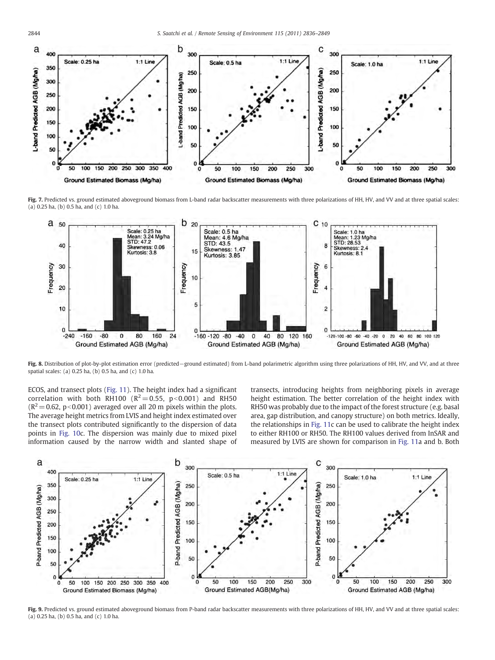<span id="page-8-0"></span>

Fig. 7. Predicted vs. ground estimated aboveground biomass from L-band radar backscatter measurements with three polarizations of HH, HV, and VV and at three spatial scales: (a) 0.25 ha, (b) 0.5 ha, and (c) 1.0 ha.



Fig. 8. Distribution of plot-by-plot estimation error (predicted−ground estimated) from L-band polarimetric algorithm using three polarizations of HH, HV, and VV, and at three spatial scales: (a) 0.25 ha, (b) 0.5 ha, and (c) 1.0 ha.

ECOS, and transect plots ([Fig. 11\)](#page-9-0). The height index had a significant correlation with both RH100 ( $R^2$  = 0.55, p < 0.001) and RH50  $(R^2 = 0.62, p < 0.001)$  averaged over all 20 m pixels within the plots. The average height metrics from LVIS and height index estimated over the transect plots contributed significantly to the dispersion of data points in [Fig. 10c](#page-9-0). The dispersion was mainly due to mixed pixel information caused by the narrow width and slanted shape of transects, introducing heights from neighboring pixels in average height estimation. The better correlation of the height index with RH50 was probably due to the impact of the forest structure (e.g. basal area, gap distribution, and canopy structure) on both metrics. Ideally, the relationships in [Fig. 11](#page-9-0)c can be used to calibrate the height index to either RH100 or RH50. The RH100 values derived from InSAR and measured by LVIS are shown for comparison in [Fig. 11a](#page-9-0) and b. Both



Fig. 9. Predicted vs. ground estimated aboveground biomass from P-band radar backscatter measurements with three polarizations of HH, HV, and VV and at three spatial scales: (a) 0.25 ha, (b) 0.5 ha, and (c) 1.0 ha.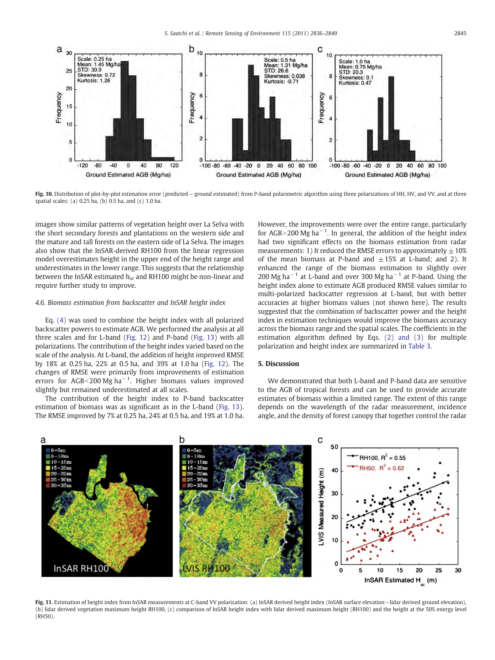<span id="page-9-0"></span>

Fig. 10. Distribution of plot-by-plot estimation error (predicted−ground estimated) from P-band polarimetric algorithm using three polarizations of HH, HV, and VV, and at three spatial scales: (a) 0.25 ha, (b) 0.5 ha, and (c) 1.0 ha.

images show similar patterns of vegetation height over La Selva with the short secondary forests and plantations on the western side and the mature and tall forests on the eastern side of La Selva. The images also show that the InSAR-derived RH100 from the linear regression model overestimates height in the upper end of the height range and underestimates in the lower range. This suggests that the relationship between the InSAR estimated  $h_{sc}$  and RH100 might be non-linear and require further study to improve.

#### 4.6. Biomass estimation from backscatter and InSAR height index

Eq. [\(4\)](#page-4-0) was used to combine the height index with all polarized backscatter powers to estimate AGB. We performed the analysis at all three scales and for L-band [\(Fig. 12\)](#page-10-0) and P-band [\(Fig. 13](#page-10-0)) with all polarizations. The contribution of the height index varied based on the scale of the analysis. At L-band, the addition of height improved RMSE by 18% at 0.25 ha, 22% at 0.5 ha, and 39% at 1.0 ha ([Fig. 12](#page-10-0)). The changes of RMSE were primarily from improvements of estimation errors for AGB<200 Mg ha<sup> $-1$ </sup>. Higher biomass values improved slightly but remained underestimated at all scales.

The contribution of the height index to P-band backscatter estimation of biomass was as significant as in the L-band ([Fig. 13](#page-10-0)). The RMSE improved by 7% at 0.25 ha, 24% at 0.5 ha, and 19% at 1.0 ha. However, the improvements were over the entire range, particularly for AGB>200 Mg ha<sup>-1</sup>. In general, the addition of the height index had two significant effects on the biomass estimation from radar measurements: 1) It reduced the RMSE errors to approximately  $\pm 10\%$ of the mean biomass at P-band and  $\pm 15\%$  at L-band; and 2). It enhanced the range of the biomass estimation to slightly over 200 Mg ha−<sup>1</sup> at L-band and over 300 Mg ha−<sup>1</sup> at P-band. Using the height index alone to estimate AGB produced RMSE values similar to multi-polarized backscatter regression at L-band, but with better accuracies at higher biomass values (not shown here). The results suggested that the combination of backscatter power and the height index in estimation techniques would improve the biomass accuracy across the biomass range and the spatial scales. The coefficients in the estimation algorithm defined by Eqs. [\(2\) and \(3\)](#page-3-0) for multiple polarization and height index are summarized in [Table 3](#page-7-0).

#### 5. Discussion

We demonstrated that both L-band and P-band data are sensitive to the AGB of tropical forests and can be used to provide accurate estimates of biomass within a limited range. The extent of this range depends on the wavelength of the radar measurement, incidence angle, and the density of forest canopy that together control the radar



Fig. 11. Estimation of height index from InSAR measurements at C-band VV polarization: (a) InSAR derived height index (InSAR surface elevation−lidar derived ground elevation), (b) lidar derived vegetation maximum height RH100, (c) comparison of InSAR height index with lidar derived maximum height (RH100) and the height at the 50% energy level (RH50).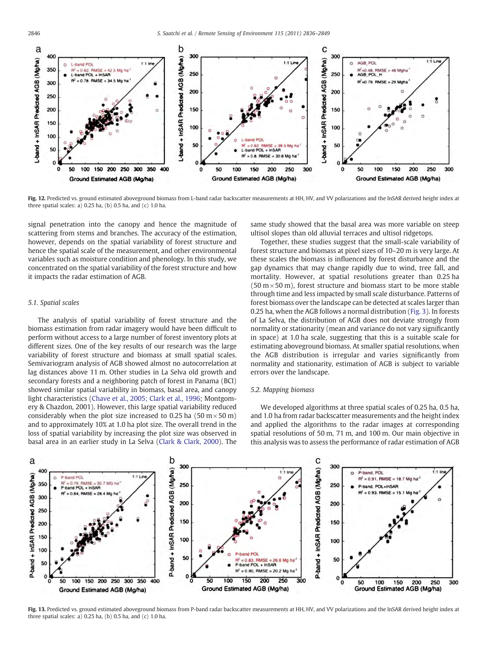<span id="page-10-0"></span>

Fig. 12. Predicted vs. ground estimated aboveground biomass from L-band radar backscatter measurements at HH, HV, and VV polarizations and the InSAR derived height index at three spatial scales: a) 0.25 ha, (b) 0.5 ha, and (c) 1.0 ha.

signal penetration into the canopy and hence the magnitude of scattering from stems and branches. The accuracy of the estimation, however, depends on the spatial variability of forest structure and hence the spatial scale of the measurement, and other environmental variables such as moisture condition and phenology. In this study, we concentrated on the spatial variability of the forest structure and how it impacts the radar estimation of AGB.

#### 5.1. Spatial scales

The analysis of spatial variability of forest structure and the biomass estimation from radar imagery would have been difficult to perform without access to a large number of forest inventory plots at different sizes. One of the key results of our research was the large variability of forest structure and biomass at small spatial scales. Semivariogram analysis of AGB showed almost no autocorrelation at lag distances above 11 m. Other studies in La Selva old growth and secondary forests and a neighboring patch of forest in Panama (BCI) showed similar spatial variability in biomass, basal area, and canopy light characteristics ([Chave et al., 2005; Clark et al., 1996;](#page-12-0) Montgomery & Chazdon, 2001). However, this large spatial variability reduced considerably when the plot size increased to 0.25 ha (50 m $\times$  50 m) and to approximately 10% at 1.0 ha plot size. The overall trend in the loss of spatial variability by increasing the plot size was observed in basal area in an earlier study in La Selva [\(Clark & Clark, 2000](#page-12-0)). The

same study showed that the basal area was more variable on steep ultisol slopes than old alluvial terraces and ultisol ridgetops.

Together, these studies suggest that the small-scale variability of forest structure and biomass at pixel sizes of 10–20 m is very large. At these scales the biomass is influenced by forest disturbance and the gap dynamics that may change rapidly due to wind, tree fall, and mortality. However, at spatial resolutions greater than 0.25 ha  $(50 \text{ m} \times 50 \text{ m})$ , forest structure and biomass start to be more stable through time and less impacted by small scale disturbance. Patterns of forest biomass over the landscape can be detected at scales larger than 0.25 ha, when the AGB follows a normal distribution [\(Fig. 3\)](#page-5-0). In forests of La Selva, the distribution of AGB does not deviate strongly from normality or stationarity (mean and variance do not vary significantly in space) at 1.0 ha scale, suggesting that this is a suitable scale for estimating aboveground biomass. At smaller spatial resolutions, when the AGB distribution is irregular and varies significantly from normality and stationarity, estimation of AGB is subject to variable errors over the landscape.

#### 5.2. Mapping biomass

We developed algorithms at three spatial scales of 0.25 ha, 0.5 ha, and 1.0 ha from radar backscatter measurements and the height index and applied the algorithms to the radar images at corresponding spatial resolutions of 50 m, 71 m, and 100 m. Our main objective in this analysis was to assess the performance of radar estimation of AGB



Fig. 13. Predicted vs. ground estimated aboveground biomass from P-band radar backscatter measurements at HH, HV, and VV polarizations and the InSAR derived height index at three spatial scales: a) 0.25 ha, (b) 0.5 ha, and (c) 1.0 ha.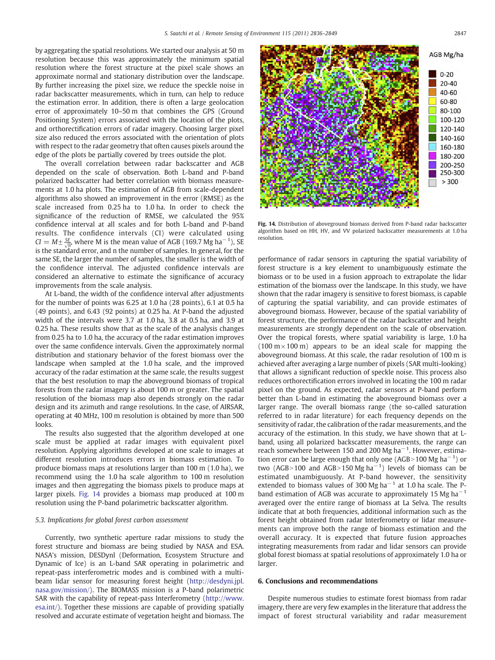by aggregating the spatial resolutions. We started our analysis at 50 m resolution because this was approximately the minimum spatial resolution where the forest structure at the pixel scale shows an approximate normal and stationary distribution over the landscape. By further increasing the pixel size, we reduce the speckle noise in radar backscatter measurements, which in turn, can help to reduce the estimation error. In addition, there is often a large geolocation error of approximately 10–50 m that combines the GPS (Ground Positioning System) errors associated with the location of the plots, and orthorectification errors of radar imagery. Choosing larger pixel size also reduced the errors associated with the orientation of plots with respect to the radar geometry that often causes pixels around the edge of the plots be partially covered by trees outside the plot.

The overall correlation between radar backscatter and AGB depended on the scale of observation. Both L-band and P-band polarized backscatter had better correlation with biomass measurements at 1.0 ha plots. The estimation of AGB from scale-dependent algorithms also showed an improvement in the error (RMSE) as the scale increased from 0.25 ha to 1.0 ha. In order to check the significance of the reduction of RMSE, we calculated the 95% confidence interval at all scales and for both L-band and P-band results. The confidence intervals (CI) were calculated using  $CI = M \pm \frac{SE}{2m}$ , where M is the mean value of AGB (169.7 Mg ha<sup>-1</sup>), SE is the standard error, and n the number of samples. In general, for the same SE, the larger the number of samples, the smaller is the width of the confidence interval. The adjusted confidence intervals are considered an alternative to estimate the significance of accuracy improvements from the scale analysis.

At L-band, the width of the confidence interval after adjustments for the number of points was 6.25 at 1.0 ha (28 points), 6.1 at 0.5 ha (49 points), and 6.43 (92 points) at 0.25 ha. At P-band the adjusted width of the intervals were 3.7 at 1.0 ha, 3.8 at 0.5 ha, and 3.9 at 0.25 ha. These results show that as the scale of the analysis changes from 0.25 ha to 1.0 ha, the accuracy of the radar estimation improves over the same confidence intervals. Given the approximately normal distribution and stationary behavior of the forest biomass over the landscape when sampled at the 1.0 ha scale, and the improved accuracy of the radar estimation at the same scale, the results suggest that the best resolution to map the aboveground biomass of tropical forests from the radar imagery is about 100 m or greater. The spatial resolution of the biomass map also depends strongly on the radar design and its azimuth and range resolutions. In the case, of AIRSAR, operating at 40 MHz, 100 m resolution is obtained by more than 500 looks.

The results also suggested that the algorithm developed at one scale must be applied at radar images with equivalent pixel resolution. Applying algorithms developed at one scale to images at different resolution introduces errors in biomass estimation. To produce biomass maps at resolutions larger than 100 m (1.0 ha), we recommend using the 1.0 ha scale algorithm to 100 m resolution images and then aggregating the biomass pixels to produce maps at larger pixels. Fig. 14 provides a biomass map produced at 100 m resolution using the P-band polarimetric backscatter algorithm.

#### 5.3. Implications for global forest carbon assessment

Currently, two synthetic aperture radar missions to study the forest structure and biomass are being studied by NASA and ESA. NASA's mission, DESDynl (Deformation, Ecosystem Structure and Dynamic of Ice) is an L-band SAR operating in polarimetric and repeat-pass interferometric modes and is combined with a multibeam lidar sensor for measuring forest height [\(http://desdyni.jpl.](http://desdyni.jpl.nasa.gov/mission/) [nasa.gov/mission/\)](http://desdyni.jpl.nasa.gov/mission/). The BIOMASS mission is a P-band polarimetric SAR with the capability of repeat-pass Interferometry ([http://www.](http://www.esa.int/) [esa.int/\)](http://www.esa.int/). Together these missions are capable of providing spatially resolved and accurate estimate of vegetation height and biomass. The



Fig. 14. Distribution of aboveground biomass derived from P-band radar backscatter algorithm based on HH, HV, and VV polarized backscatter measurements at 1.0 ha resolution.

performance of radar sensors in capturing the spatial variability of forest structure is a key element to unambiguously estimate the biomass or to be used in a fusion approach to extrapolate the lidar estimation of the biomass over the landscape. In this study, we have shown that the radar imagery is sensitive to forest biomass, is capable of capturing the spatial variability, and can provide estimates of aboveground biomass. However, because of the spatial variability of forest structure, the performance of the radar backscatter and height measurements are strongly dependent on the scale of observation. Over the tropical forests, where spatial variability is large, 1.0 ha  $(100 \text{ m} \times 100 \text{ m})$  appears to be an ideal scale for mapping the aboveground biomass. At this scale, the radar resolution of 100 m is achieved after averaging a large number of pixels (SAR multi-looking) that allows a significant reduction of speckle noise. This process also reduces orthorectification errors involved in locating the 100 m radar pixel on the ground. As expected, radar sensors at P-band perform better than L-band in estimating the aboveground biomass over a larger range. The overall biomass range (the so-called saturation referred to in radar literature) for each frequency depends on the sensitivity of radar, the calibration of the radar measurements, and the accuracy of the estimation. In this study, we have shown that at Lband, using all polarized backscatter measurements, the range can reach somewhere between 150 and 200 Mg ha<sup> $-1$ </sup>. However, estimation error can be large enough that only one (AGB>100 Mg ha<sup>-1</sup>) or two (AGB>100 and AGB>150 Mg ha<sup>-1</sup>) levels of biomass can be estimated unambiguously. At P-band however, the sensitivity extended to biomass values of 300 Mg ha<sup> $-1$ </sup> at 1.0 ha scale. The Pband estimation of AGB was accurate to approximately 15 Mg ha<sup> $-1$ </sup> averaged over the entire range of biomass at La Selva. The results indicate that at both frequencies, additional information such as the forest height obtained from radar Interferometry or lidar measurements can improve both the range of biomass estimation and the overall accuracy. It is expected that future fusion approaches integrating measurements from radar and lidar sensors can provide global forest biomass at spatial resolutions of approximately 1.0 ha or larger.

#### 6. Conclusions and recommendations

Despite numerous studies to estimate forest biomass from radar imagery, there are very few examples in the literature that address the impact of forest structural variability and radar measurement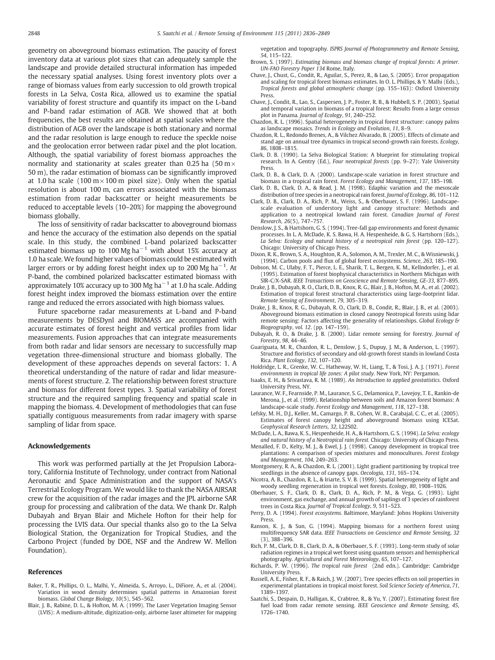<span id="page-12-0"></span>geometry on aboveground biomass estimation. The paucity of forest inventory data at various plot sizes that can adequately sample the landscape and provide detailed structural information has impeded the necessary spatial analyses. Using forest inventory plots over a range of biomass values from early succession to old growth tropical forests in La Selva, Costa Rica, allowed us to examine the spatial variability of forest structure and quantify its impact on the L-band and P-band radar estimation of AGB. We showed that at both frequencies, the best results are obtained at spatial scales where the distribution of AGB over the landscape is both stationary and normal and the radar resolution is large enough to reduce the speckle noise and the geolocation error between radar pixel and the plot location. Although, the spatial variability of forest biomass approaches the normality and stationarity at scales greater than 0.25 ha  $(50 \text{ m} \times$ 50 m), the radar estimation of biomass can be significantly improved at 1.0 ha scale (100  $m \times 100$  m pixel size). Only when the spatial resolution is about 100 m, can errors associated with the biomass estimation from radar backscatter or height measurements be reduced to acceptable levels (10–20%) for mapping the aboveground biomass globally.

The loss of sensitivity of radar backscatter to aboveground biomass and hence the accuracy of the estimation also depends on the spatial scale. In this study, the combined L-band polarized backscatter estimated biomass up to  $100 \text{ Mg ha}^{-1}$  with about 15% accuracy at 1.0 ha scale. We found higher values of biomass could be estimated with larger errors or by adding forest height index up to 200 Mg ha<sup>-1</sup>. At P-band, the combined polarized backscatter estimated biomass with approximately 10% accuracy up to 300 Mg ha−<sup>1</sup> at 1.0 ha scale. Adding forest height index improved the biomass estimation over the entire range and reduced the errors associated with high biomass values.

Future spaceborne radar measurements at L-band and P-band measurements by DESDynl and BIOMASS are accompanied with accurate estimates of forest height and vertical profiles from lidar measurements. Fusion approaches that can integrate measurements from both radar and lidar sensors are necessary to successfully map vegetation three-dimensional structure and biomass globally. The development of these approaches depends on several factors: 1. A theoretical understanding of the nature of radar and lidar measurements of forest structure. 2. The relationship between forest structure and biomass for different forest types. 3. Spatial variability of forest structure and the required sampling frequency and spatial scale in mapping the biomass. 4. Development of methodologies that can fuse spatially contiguous measurements from radar imagery with sparse sampling of lidar from space.

#### Acknowledgements

This work was performed partially at the Jet Propulsion Laboratory, California Institute of Technology, under contract from National Aeronautic and Space Administration and the support of NASA's Terrestrial Ecology Program. We would like to thank the NASA AIRSAR crew for the acquisition of the radar images and the JPL airborne SAR group for processing and calibration of the data. We thank Dr. Ralph Dubayah and Bryan Blair and Michele Hofton for their help for processing the LVIS data. Our special thanks also go to the La Selva Biological Station, the Organization for Tropical Studies, and the Carbono Project (funded by DOE, NSF and the Andrew W. Mellon Foundation).

#### References

- Baker, T. R., Phillips, O. L., Malhi, Y., Almeida, S., Arroyo, L., DiFiore, A., et al. (2004). Variation in wood density determines spatial patterns in Amazonian forest biomass. Global Change Biology, 10(5), 545–562.
- Blair, J. B., Rabine, D. L., & Hofton, M. A. (1999). The Laser Vegetation Imaging Sensor (LVIS): A medium-altitude, digitization-only, airborne laser altimeter for mapping

vegetation and topography. ISPRS Journal of Photogrammetry and Remote Sensing, 54, 115–122.

- Brown, S. (1997). Estimating biomass and biomass change of tropical forests: A primer. UN-FAO Forestry Paper 134 Rome, Italy.
- Chave, J., Chust, G., Condit, R., Aguilar, S., Perez, R., & Lao, S. (2005). Error propagation and scaling for tropical forest biomass estimates. In O. L. Phillips, & Y. Malhi (Eds.), Tropical forests and global atmospheric change (pp. 155–163): Oxford University Press.
- Chave, J., Condit, R., Lao, S., Caspersen, J. P., Foster, R. B., & Hubbell, S. P. (2003). Spatial and temporal variation in biomass of a tropical forest: Results from a large census plot in Panama. Journal of Ecology, 91, 240–252.
- Chazdon, R. L. (1996). Spatial heterogeneity in tropical forest structure: canopy palms as landscape mosaics. Trends in Ecology and Evolution, 11, 8–9.
- Chazdon, R. L., Redondo Brenes, A., & Vilchez Alvarado, B. (2005). Effects of climate and stand age on annual tree dynamics in tropical second-growth rain forests. Ecology, 86, 1808–1815.
- Clark, D. B. (1990). La Selva Biological Station: A blueprint for stimulating tropical research. In A. Gentry (Ed.), Four neotropical forests (pp. 9–27): Yale University Press.
- Clark, D. B., & Clark, D. A. (2000). Landscape-scale variation in forest structure and biomass in a tropical rain forest. Forest Ecology and Management, 137, 185–198.
- Clark, D. B., Clark, D. A., & Read, J. M. (1998). Edaphic variation and the mesoscale distribution of tree species in a neotropical rain forest. Journal of Ecology, 86, 101–112.
- Clark, D. B., Clark, D. A., Rich, P. M., Weiss, S., & Oberbauer, S. F. (1996). Landscapescale evaluation of understory light and canopy structure: Methods and application to a neotropical lowland rain forest. Canadian Journal of Forest Research, 26(5), 747–757.
- Denslow, J. S., & Hartshorn, G. S. (1994). Tree-fall gap environments and forest dynamic processes. In L. A. McDade, K. S. Bawa, H. A. Hespenheide, & G. S. Hartshorn (Eds.), La Selva: Ecology and natural history of a neotropical rain forest (pp. 120–127). Chicago: University of Chicago Press.
- Dixon, R. K., Brown, S. A., Houghton, R. A., Solomon, A. M., Trexler, M. C., & Wisniewski, J. (1994). Carbon pools and flux of global forest ecosystems. Science, 263, 185–190.
- Dobson, M. C., Ulaby, F. T., Pierce, L. E., Sharik, T. L., Bergen, K. M., Kellndorfer, J., et al. (1995). Estimation of forest biophysical characteristics in Northern Michigan with SIR-C/X-SAR. IEEE Transactions on Geoscience and Remote Sensing, GE-33, 877–895.
- Drake, J. B., Dubayah, R. O., Clark, D. B., Knox, R. G., Blair, J. B., Hofton, M. A., et al. (2002). Estimation of tropical forest structural characteristics using large-footprint lidar. Remote Sensing of Environment, 79, 305–319.
- Drake, J. B., Knox, R. G., Dubayah, R. O., Clark, D. B., Condit, R., Blair, J. B., et al. (2003). Aboveground biomass estimation in closed canopy Neotropical forests using lidar remote sensing: Factors affecting the generality of relationships. Global Ecology & Biogeography, vol. 12. (pp. 147–159).
- Dubayah, R. O., & Drake, J. B. (2000). Lidar remote sensing for forestry. Journal of Forestry, 98, 44–46.
- Guariguata, M. R., Chazdon, R. L., Denslow, J. S., Dupuy, J. M., & Anderson, L. (1997). Structure and floristics of secondary and old-growth forest stands in lowland Costa Rica. Plant Ecology, 132, 107–120.
- Holdridge, L. R., Grenke, W. C., Hatheway, W. H., Liang, T., & Tosi, J. A. J. (1971). Forest environments in tropical life zones: A pilot study. New York, NY: Pergamon.
- Isaaks, E. H., & Srivastava, R. M. (1989). An Introduction to applied geostatistics. Oxford University Press, NY.
- Laurance, W. F., Fearnside, P. M., Laurance, S. G., Delamonica, P., Lovejoy, T. E., Rankin-de Merona, J., et al. (1999). Relationship between soils and Amazon forest biomass: A landscape-scale study. Forest Ecology and Management, 118, 127–138.
- Lefsky, M. H., D.J., Keller, M., Camargo, P. B., Cohen, W. B., Carabajal, C. C., et al. (2005). Estimates of forest canopy height and aboveground biomass using ICESat. Geophysical Research Letters, 32, L22S02.
- McDade, L. A., Bawa, K. S., Hespenheide, H. A., & Hartshorn, G. S. (1994). La Selva: ecology and natural history of a Neotropical rain forest. Chicago: University of Chicago Press.
- Menalled, F. D., Kelty, M. J., & Ewel, J. J. (1998). Canopy development in tropical tree plantations: A comparison of species mixtures and monocultures. Forest Ecology and Management, 104, 249–263.
- Montgomery, R. A., & Chazdon, R. L. (2001). Light gradient partitioning by tropical tree seedlings in the absence of canopy gaps. Oecologia, 131, 165–174.
- Nicotra, A. B., Chazdon, R. L., & Iriarte, S. V. B. (1999). Spatial heterogeneity of light and woody seedling regeneration in tropical wet forests. Ecology, 80, 1908–1926.
- Oberbauer, S. F., Clark, D. B., Clark, D. A., Rich, P. M., & Vega, G. (1993). Light environment, gas exchange, and annual growth of saplings of 3 species of rainforest trees in Costa Rica. Journal of Tropical Ecology, 9, 511–523.
- Perry, D. A. (1994). Forest ecosystems. Baltimore, Maryland: Johns Hopkins University Press.
- Ranson, K. J., & Sun, G. (1994). Mapping biomass for a northern forest using multifrequency SAR data. IEEE Transactions on Geoscience and Remote Sensing, 32 (3), 388–396.
- Rich, P. M., Clark, D. B., Clark, D. A., & Oberbauer, S. F. (1993). Long-term study of solar radiation regimes in a tropical wet forest using quantum sensors and hemispherical photography. Agricultural and Forest Meteorology, 65, 107–127.
- Richards, P. W. (1996). The tropical rain forest (2nd edn.). Cambridge: Cambridge University Press.
- Russell, A. E., Fisher, R. F., & Raich, J. W. (2007). Tree species effects on soil properties in experimental plantations in tropical moist forest. Soil Science Society of America, 71, 1389–1397.
- Saatchi, S., Despain, D., Halligan, K., Crabtree, R., & Yu, Y. (2007). Estimating forest fire fuel load from radar remote sensing. IEEE Geoscience and Remote Sensing, 45, 1726–1740.